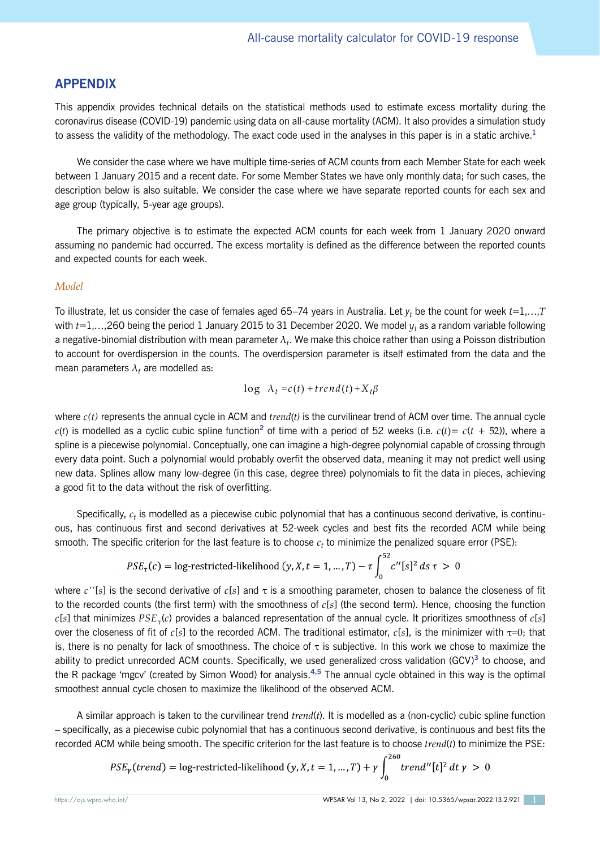## **APPENDIX**

This appendix provides technical details on the statistical methods used to estimate excess mortality during the coronavirus disease (COVID-19) pandemic using data on all-cause mortality (ACM). It also provides a simulation study to assess the validity of the methodology. The exact code used in the analyses in this paper is in a static archive.**<sup>1</sup>**

We consider the case where we have multiple time-series of ACM counts from each Member State for each week between 1 January 2015 and a recent date. For some Member States we have only monthly data; for such cases, the description below is also suitable. We consider the case where we have separate reported counts for each sex and age group (typically, 5-year age groups).

The primary objective is to estimate the expected ACM counts for each week from 1 January 2020 onward assuming no pandemic had occurred. The excess mortality is defined as the difference between the reported counts and expected counts for each week.

## *Model*

To illustrate, let us consider the case of females aged 65–74 years in Australia. Let *yt* be the count for week *t*=1,…,*T* with *t*=1,…,260 being the period 1 January 2015 to 31 December 2020. We model *yt* as a random variable following a negative-binomial distribution with mean parameter λ*t*. We make this choice rather than using a Poisson distribution to account for overdispersion in the counts. The overdispersion parameter is itself estimated from the data and the mean parameters  $\lambda_t$  are modelled as:

$$
\log \ \lambda_t = c(t) + t \, rend(t) + X_t \beta
$$

where *c(t)* represents the annual cycle in ACM and *trend*(*t)* is the curvilinear trend of ACM over time. The annual cycle  $c(t)$  is modelled as a cyclic cubic spline function<sup>2</sup> of time with a period of 52 weeks (i.e.  $c(t) = c(t + 52)$ ), where a spline is a piecewise polynomial. Conceptually, one can imagine a high-degree polynomial capable of crossing through every data point. Such a polynomial would probably overfit the observed data, meaning it may not predict well using new data. Splines allow many low-degree (in this case, degree three) polynomials to fit the data in pieces, achieving a good fit to the data without the risk of overfitting.

Specifically, *ct* is modelled as a piecewise cubic polynomial that has a continuous second derivative, is continuous, has continuous first and second derivatives at 52-week cycles and best fits the recorded ACM while being smooth. The specific criterion for the last feature is to choose  $c_t$  to minimize the penalized square error (PSE):

$$
PSE_{\tau}(c) = \log\text{-restricted-likelihood}(y, X, t = 1, ..., T) - \tau \int_0^{52} c''[s]^2 \, ds \, \tau > 0
$$

where *c''*[*s*] is the second derivative of *c*[*s*] and τ is a smoothing parameter, chosen to balance the closeness of fit to the recorded counts (the first term) with the smoothness of *c*[*s*] (the second term). Hence, choosing the function *c*[*s*] that minimizes *PSEτ*(*c*) provides a balanced representation of the annual cycle. It prioritizes smoothness of *c*[*s*] over the closeness of fit of *c*[*s*] to the recorded ACM. The traditional estimator, *c*[*s*], is the minimizer with τ=0; that is, there is no penalty for lack of smoothness. The choice of  $\tau$  is subjective. In this work we chose to maximize the ability to predict unrecorded ACM counts. Specifically, we used generalized cross validation (GCV)**<sup>3</sup>** to choose, and the R package 'mgcv' (created by Simon Wood) for analysis.**4,5** The annual cycle obtained in this way is the optimal smoothest annual cycle chosen to maximize the likelihood of the observed ACM.

A similar approach is taken to the curvilinear trend *trend*(*t*). It is modelled as a (non-cyclic) cubic spline function – specifically, as a piecewise cubic polynomial that has a continuous second derivative, is continuous and best fits the recorded ACM while being smooth. The specific criterion for the last feature is to choose *trend*(*t*) to minimize the PSE:

$$
PSE_{\gamma}(trend) = \log-restricted-likelihood (y, X, t = 1, ..., T) + \gamma \int_{0}^{260} trend''[t]^2 dt \gamma > 0
$$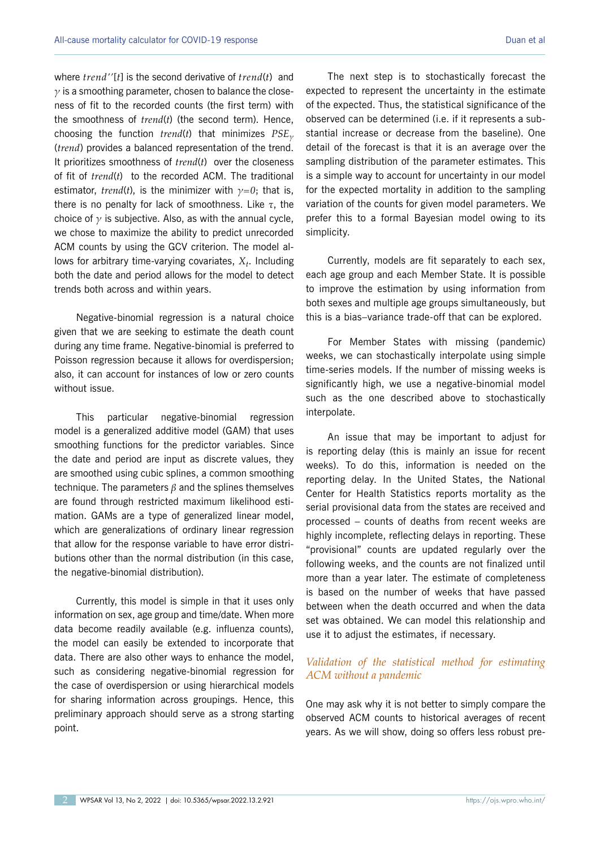where *trend''*[*t*] is the second derivative of *trend*(*t*) and *γ* is a smoothing parameter, chosen to balance the closeness of fit to the recorded counts (the first term) with the smoothness of *trend*(*t*) (the second term). Hence, choosing the function *trend*(*t*) that minimizes *PSE<sup>γ</sup>* (*trend*) provides a balanced representation of the trend. It prioritizes smoothness of *trend*(*t*) over the closeness of fit of *trend*(*t*) to the recorded ACM. The traditional estimator, *trend*(*t*), is the minimizer with  $\gamma = 0$ ; that is, there is no penalty for lack of smoothness. Like *τ*, the choice of *γ* is subjective. Also, as with the annual cycle, we chose to maximize the ability to predict unrecorded ACM counts by using the GCV criterion. The model allows for arbitrary time-varying covariates,  $X_t$ . Including both the date and period allows for the model to detect trends both across and within years.

Negative-binomial regression is a natural choice given that we are seeking to estimate the death count during any time frame. Negative-binomial is preferred to Poisson regression because it allows for overdispersion; also, it can account for instances of low or zero counts without issue.

This particular negative-binomial regression model is a generalized additive model (GAM) that uses smoothing functions for the predictor variables. Since the date and period are input as discrete values, they are smoothed using cubic splines, a common smoothing technique. The parameters *β* and the splines themselves are found through restricted maximum likelihood estimation. GAMs are a type of generalized linear model, which are generalizations of ordinary linear regression that allow for the response variable to have error distributions other than the normal distribution (in this case, the negative-binomial distribution).

Currently, this model is simple in that it uses only information on sex, age group and time/date. When more data become readily available (e.g. influenza counts), the model can easily be extended to incorporate that data. There are also other ways to enhance the model, such as considering negative-binomial regression for the case of overdispersion or using hierarchical models for sharing information across groupings. Hence, this preliminary approach should serve as a strong starting point.

The next step is to stochastically forecast the expected to represent the uncertainty in the estimate of the expected. Thus, the statistical significance of the observed can be determined (i.e. if it represents a substantial increase or decrease from the baseline). One detail of the forecast is that it is an average over the sampling distribution of the parameter estimates. This is a simple way to account for uncertainty in our model for the expected mortality in addition to the sampling variation of the counts for given model parameters. We prefer this to a formal Bayesian model owing to its simplicity.

Currently, models are fit separately to each sex, each age group and each Member State. It is possible to improve the estimation by using information from both sexes and multiple age groups simultaneously, but this is a bias–variance trade-off that can be explored.

For Member States with missing (pandemic) weeks, we can stochastically interpolate using simple time-series models. If the number of missing weeks is significantly high, we use a negative-binomial model such as the one described above to stochastically interpolate.

An issue that may be important to adjust for is reporting delay (this is mainly an issue for recent weeks). To do this, information is needed on the reporting delay. In the United States, the National Center for Health Statistics reports mortality as the serial provisional data from the states are received and processed – counts of deaths from recent weeks are highly incomplete, reflecting delays in reporting. These "provisional" counts are updated regularly over the following weeks, and the counts are not finalized until more than a year later. The estimate of completeness is based on the number of weeks that have passed between when the death occurred and when the data set was obtained. We can model this relationship and use it to adjust the estimates, if necessary.

## *Validation of the statistical method for estimating ACM without a pandemic*

One may ask why it is not better to simply compare the observed ACM counts to historical averages of recent years. As we will show, doing so offers less robust pre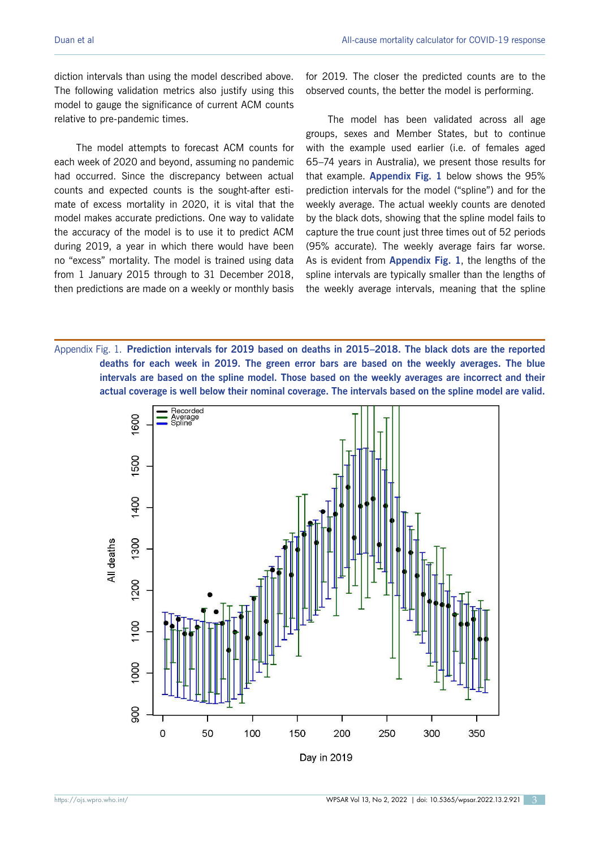diction intervals than using the model described above. The following validation metrics also justify using this model to gauge the significance of current ACM counts relative to pre-pandemic times.

The model attempts to forecast ACM counts for each week of 2020 and beyond, assuming no pandemic had occurred. Since the discrepancy between actual counts and expected counts is the sought-after estimate of excess mortality in 2020, it is vital that the model makes accurate predictions. One way to validate the accuracy of the model is to use it to predict ACM during 2019, a year in which there would have been no "excess" mortality. The model is trained using data from 1 January 2015 through to 31 December 2018, then predictions are made on a weekly or monthly basis for 2019. The closer the predicted counts are to the observed counts, the better the model is performing.

The model has been validated across all age groups, sexes and Member States, but to continue with the example used earlier (i.e. of females aged 65–74 years in Australia), we present those results for that example. **Appendix Fig. 1** below shows the 95% prediction intervals for the model ("spline") and for the weekly average. The actual weekly counts are denoted by the black dots, showing that the spline model fails to capture the true count just three times out of 52 periods (95% accurate). The weekly average fairs far worse. As is evident from **Appendix Fig. 1**, the lengths of the spline intervals are typically smaller than the lengths of the weekly average intervals, meaning that the spline

Appendix Fig. 1. **Prediction intervals for 2019 based on deaths in 2015–2018. The black dots are the reported deaths for each week in 2019. The green error bars are based on the weekly averages. The blue intervals are based on the spline model. Those based on the weekly averages are incorrect and their actual coverage is well below their nominal coverage. The intervals based on the spline model are valid.**

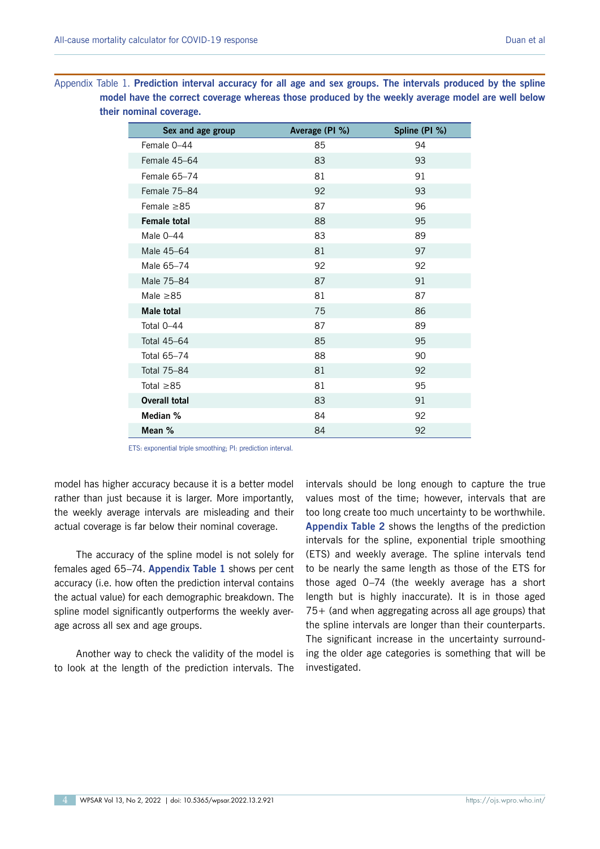Appendix Table 1. **Prediction interval accuracy for all age and sex groups. The intervals produced by the spline model have the correct coverage whereas those produced by the weekly average model are well below their nominal coverage.**

| Sex and age group    | Average (PI %) | Spline (PI %) |
|----------------------|----------------|---------------|
| Female 0-44          | 85             | 94            |
| Female 45-64         | 83             | 93            |
| Female 65-74         | 81             | 91            |
| Female 75-84         | 92             | 93            |
| Female $\geq$ 85     | 87             | 96            |
| <b>Female total</b>  | 88             | 95            |
| Male 0-44            | 83             | 89            |
| Male 45-64           | 81             | 97            |
| Male 65-74           | 92             | 92            |
| Male 75-84           | 87             | 91            |
| Male $\geq 85$       | 81             | 87            |
| <b>Male total</b>    | 75             | 86            |
| Total 0-44           | 87             | 89            |
| Total 45-64          | 85             | 95            |
| Total 65-74          | 88             | 90            |
| Total 75-84          | 81             | 92            |
| Total $\geq 85$      | 81             | 95            |
| <b>Overall total</b> | 83             | 91            |
| Median %             | 84             | 92            |
| Mean %               | 84             | 92            |

ETS: exponential triple smoothing; PI: prediction interval.

model has higher accuracy because it is a better model rather than just because it is larger. More importantly, the weekly average intervals are misleading and their actual coverage is far below their nominal coverage.

The accuracy of the spline model is not solely for females aged 65–74. **Appendix Table 1** shows per cent accuracy (i.e. how often the prediction interval contains the actual value) for each demographic breakdown. The spline model significantly outperforms the weekly average across all sex and age groups.

Another way to check the validity of the model is to look at the length of the prediction intervals. The intervals should be long enough to capture the true values most of the time; however, intervals that are too long create too much uncertainty to be worthwhile. **Appendix Table 2** shows the lengths of the prediction intervals for the spline, exponential triple smoothing (ETS) and weekly average. The spline intervals tend to be nearly the same length as those of the ETS for those aged 0–74 (the weekly average has a short length but is highly inaccurate). It is in those aged 75+ (and when aggregating across all age groups) that the spline intervals are longer than their counterparts. The significant increase in the uncertainty surrounding the older age categories is something that will be investigated.